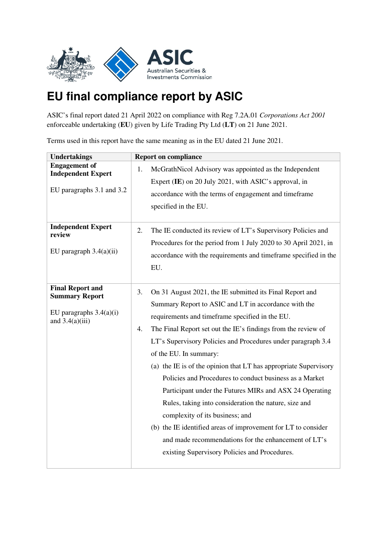

## **EU final compliance report by ASIC**

ASIC's final report dated 21 April 2022 on compliance with Reg 7.2A.01 *Corporations Act 2001* enforceable undertaking (**EU**) given by Life Trading Pty Ltd (**LT**) on 21 June 2021.

Terms used in this report have the same meaning as in the EU dated 21 June 2021.

| <b>Undertakings</b>                                                                                | <b>Report on compliance</b>                                                                                                                                                                                                                                                                                                                                                                                                                                                                                                                                                                                                                                                                                                                                                                                |
|----------------------------------------------------------------------------------------------------|------------------------------------------------------------------------------------------------------------------------------------------------------------------------------------------------------------------------------------------------------------------------------------------------------------------------------------------------------------------------------------------------------------------------------------------------------------------------------------------------------------------------------------------------------------------------------------------------------------------------------------------------------------------------------------------------------------------------------------------------------------------------------------------------------------|
| <b>Engagement</b> of<br><b>Independent Expert</b>                                                  | McGrathNicol Advisory was appointed as the Independent<br>1.                                                                                                                                                                                                                                                                                                                                                                                                                                                                                                                                                                                                                                                                                                                                               |
|                                                                                                    | Expert (IE) on 20 July 2021, with ASIC's approval, in                                                                                                                                                                                                                                                                                                                                                                                                                                                                                                                                                                                                                                                                                                                                                      |
| EU paragraphs 3.1 and 3.2                                                                          | accordance with the terms of engagement and timeframe                                                                                                                                                                                                                                                                                                                                                                                                                                                                                                                                                                                                                                                                                                                                                      |
|                                                                                                    | specified in the EU.                                                                                                                                                                                                                                                                                                                                                                                                                                                                                                                                                                                                                                                                                                                                                                                       |
| <b>Independent Expert</b><br>review<br>EU paragraph $3.4(a)(ii)$                                   | The IE conducted its review of LT's Supervisory Policies and<br>2.<br>Procedures for the period from 1 July 2020 to 30 April 2021, in<br>accordance with the requirements and timeframe specified in the<br>EU.                                                                                                                                                                                                                                                                                                                                                                                                                                                                                                                                                                                            |
| <b>Final Report and</b><br><b>Summary Report</b><br>EU paragraphs $3.4(a)(i)$<br>and $3.4(a)(iii)$ | On 31 August 2021, the IE submitted its Final Report and<br>3.<br>Summary Report to ASIC and LT in accordance with the<br>requirements and timeframe specified in the EU.<br>The Final Report set out the IE's findings from the review of<br>4.<br>LT's Supervisory Policies and Procedures under paragraph 3.4<br>of the EU. In summary:<br>(a) the IE is of the opinion that LT has appropriate Supervisory<br>Policies and Procedures to conduct business as a Market<br>Participant under the Futures MIRs and ASX 24 Operating<br>Rules, taking into consideration the nature, size and<br>complexity of its business; and<br>(b) the IE identified areas of improvement for LT to consider<br>and made recommendations for the enhancement of LT's<br>existing Supervisory Policies and Procedures. |